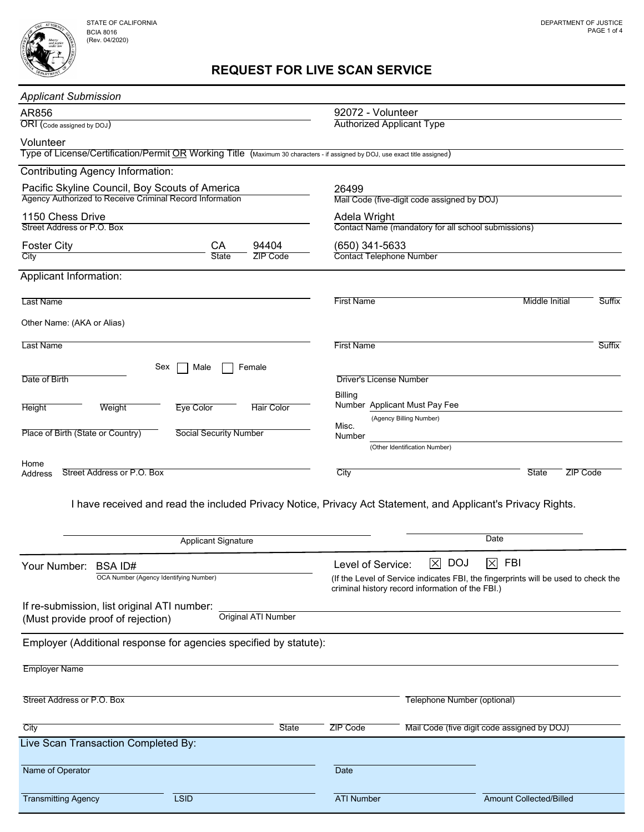## REQUEST FOR LIVE SCAN SERVICE

| <b>Applicant Submission</b>                                                                                                               |                               |                            |                                                                     |                                                                                                                                        |                                             |                 |               |
|-------------------------------------------------------------------------------------------------------------------------------------------|-------------------------------|----------------------------|---------------------------------------------------------------------|----------------------------------------------------------------------------------------------------------------------------------------|---------------------------------------------|-----------------|---------------|
| AR856                                                                                                                                     |                               |                            | 92072 - Volunteer                                                   |                                                                                                                                        |                                             |                 |               |
| ORI (Code assigned by DOJ)                                                                                                                |                               |                            | <b>Authorized Applicant Type</b>                                    |                                                                                                                                        |                                             |                 |               |
| Volunteer<br>Type of License/Certification/Permit OR Working Title (Maximum 30 characters - if assigned by DOJ, use exact title assigned) |                               |                            |                                                                     |                                                                                                                                        |                                             |                 |               |
| <b>Contributing Agency Information:</b>                                                                                                   |                               |                            |                                                                     |                                                                                                                                        |                                             |                 |               |
| Pacific Skyline Council, Boy Scouts of America                                                                                            |                               |                            | 26499                                                               |                                                                                                                                        |                                             |                 |               |
| Agency Authorized to Receive Criminal Record Information                                                                                  |                               |                            | Mail Code (five-digit code assigned by DOJ)                         |                                                                                                                                        |                                             |                 |               |
| 1150 Chess Drive<br>Street Address or P.O. Box                                                                                            |                               |                            | Adela Wright<br>Contact Name (mandatory for all school submissions) |                                                                                                                                        |                                             |                 |               |
| 94404<br><b>Foster City</b><br>CA                                                                                                         |                               |                            | (650) 341-5633                                                      |                                                                                                                                        |                                             |                 |               |
| City                                                                                                                                      | <b>State</b>                  | <b>ZIP Code</b>            | <b>Contact Telephone Number</b>                                     |                                                                                                                                        |                                             |                 |               |
| Applicant Information:                                                                                                                    |                               |                            |                                                                     |                                                                                                                                        |                                             |                 |               |
| Last Name                                                                                                                                 |                               |                            | <b>First Name</b>                                                   |                                                                                                                                        | <b>Middle Initial</b>                       |                 | Suffix        |
|                                                                                                                                           |                               |                            |                                                                     |                                                                                                                                        |                                             |                 |               |
| Other Name: (AKA or Alias)                                                                                                                |                               |                            |                                                                     |                                                                                                                                        |                                             |                 |               |
| <b>Last Name</b>                                                                                                                          |                               |                            | <b>First Name</b>                                                   |                                                                                                                                        |                                             |                 | <b>Suffix</b> |
| Sex                                                                                                                                       | Male                          | Female                     |                                                                     |                                                                                                                                        |                                             |                 |               |
| Date of Birth                                                                                                                             |                               |                            | <b>Driver's License Number</b>                                      |                                                                                                                                        |                                             |                 |               |
| <b>Height</b><br>Weight                                                                                                                   | <b>Eye Color</b>              | <b>Hair Color</b>          | <b>Billing</b><br>Number Applicant Must Pay Fee                     |                                                                                                                                        |                                             |                 |               |
|                                                                                                                                           |                               |                            |                                                                     | (Agency Billing Number)                                                                                                                |                                             |                 |               |
| Place of Birth (State or Country)                                                                                                         | <b>Social Security Number</b> |                            | Misc.<br>Number                                                     |                                                                                                                                        |                                             |                 |               |
|                                                                                                                                           |                               |                            |                                                                     | (Other Identification Number)                                                                                                          |                                             |                 |               |
| Home<br>Street Address or P.O. Box<br>Address                                                                                             |                               |                            | City                                                                |                                                                                                                                        | <b>State</b>                                | <b>ZIP Code</b> |               |
|                                                                                                                                           |                               |                            |                                                                     |                                                                                                                                        |                                             |                 |               |
| I have received and read the included Privacy Notice, Privacy Act Statement, and Applicant's Privacy Rights.                              |                               |                            |                                                                     |                                                                                                                                        |                                             |                 |               |
|                                                                                                                                           |                               |                            |                                                                     |                                                                                                                                        |                                             |                 |               |
|                                                                                                                                           | <b>Applicant Signature</b>    |                            |                                                                     |                                                                                                                                        | Date                                        |                 |               |
| Your Number:<br><b>BSAID#</b>                                                                                                             |                               |                            | Level of Service:                                                   | $\boxtimes$ DOJ                                                                                                                        | $\boxtimes$ FBI                             |                 |               |
| OCA Number (Agency Identifying Number)                                                                                                    |                               |                            |                                                                     | (If the Level of Service indicates FBI, the fingerprints will be used to check the<br>criminal history record information of the FBI.) |                                             |                 |               |
|                                                                                                                                           |                               |                            |                                                                     |                                                                                                                                        |                                             |                 |               |
| If re-submission, list original ATI number:<br>(Must provide proof of rejection)                                                          |                               | <b>Original ATI Number</b> |                                                                     |                                                                                                                                        |                                             |                 |               |
|                                                                                                                                           |                               |                            |                                                                     |                                                                                                                                        |                                             |                 |               |
| Employer (Additional response for agencies specified by statute):                                                                         |                               |                            |                                                                     |                                                                                                                                        |                                             |                 |               |
| <b>Employer Name</b>                                                                                                                      |                               |                            |                                                                     |                                                                                                                                        |                                             |                 |               |
|                                                                                                                                           |                               |                            |                                                                     |                                                                                                                                        |                                             |                 |               |
| Street Address or P.O. Box                                                                                                                |                               |                            |                                                                     | Telephone Number (optional)                                                                                                            |                                             |                 |               |
| City                                                                                                                                      |                               | State                      | <b>ZIP Code</b>                                                     |                                                                                                                                        | Mail Code (five digit code assigned by DOJ) |                 |               |
| Live Scan Transaction Completed By:                                                                                                       |                               |                            |                                                                     |                                                                                                                                        |                                             |                 |               |
|                                                                                                                                           |                               |                            |                                                                     |                                                                                                                                        |                                             |                 |               |
| Name of Operator                                                                                                                          |                               |                            | Date                                                                |                                                                                                                                        |                                             |                 |               |
| <b>Transmitting Agency</b><br><b>LSID</b>                                                                                                 |                               |                            | <b>ATI Number</b>                                                   |                                                                                                                                        | <b>Amount Collected/Billed</b>              |                 |               |
|                                                                                                                                           |                               |                            |                                                                     |                                                                                                                                        |                                             |                 |               |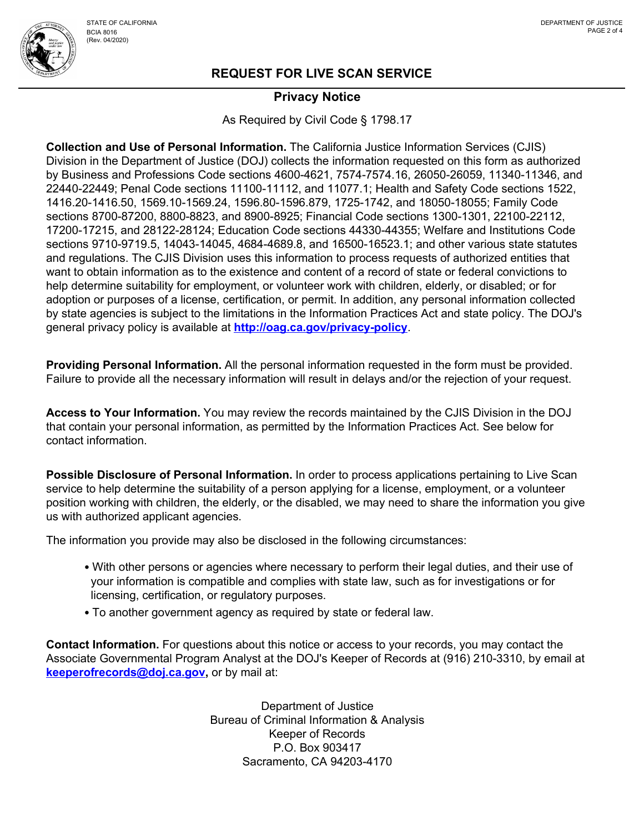

### Privacy Notice

As Required by Civil Code § 1798.17

Collection and Use of Personal Information. The California Justice Information Services (CJIS) Division in the Department of Justice (DOJ) collects the information requested on this form as authorized by Business and Professions Code sections 4600-4621, 7574-7574.16, 26050-26059, 11340-11346, and 22440-22449; Penal Code sections 11100-11112, and 11077.1; Health and Safety Code sections 1522, 1416.20-1416.50, 1569.10-1569.24, 1596.80-1596.879, 1725-1742, and 18050-18055; Family Code sections 8700-87200, 8800-8823, and 8900-8925; Financial Code sections 1300-1301, 22100-22112, 17200-17215, and 28122-28124; Education Code sections 44330-44355; Welfare and Institutions Code sections 9710-9719.5, 14043-14045, 4684-4689.8, and 16500-16523.1; and other various state statutes and regulations. The CJIS Division uses this information to process requests of authorized entities that want to obtain information as to the existence and content of a record of state or federal convictions to help determine suitability for employment, or volunteer work with children, elderly, or disabled; or for adoption or purposes of a license, certification, or permit. In addition, any personal information collected by state agencies is subject to the limitations in the Information Practices Act and state policy. The DOJ's general privacy policy is available at **http://oag.ca.gov/privacy-policy**.

Providing Personal Information. All the personal information requested in the form must be provided. Failure to provide all the necessary information will result in delays and/or the rejection of your request.

Access to Your Information. You may review the records maintained by the CJIS Division in the DOJ that contain your personal information, as permitted by the Information Practices Act. See below for contact information.

Possible Disclosure of Personal Information. In order to process applications pertaining to Live Scan service to help determine the suitability of a person applying for a license, employment, or a volunteer position working with children, the elderly, or the disabled, we may need to share the information you give us with authorized applicant agencies.

The information you provide may also be disclosed in the following circumstances:

- With other persons or agencies where necessary to perform their legal duties, and their use of your information is compatible and complies with state law, such as for investigations or for licensing, certification, or regulatory purposes.
- To another government agency as required by state or federal law.

Contact Information. For questions about this notice or access to your records, you may contact the Associate Governmental Program Analyst at the DOJ's Keeper of Records at (916) 210-3310, by email at keeperofrecords@doj.ca.gov, or by mail at:

> Department of Justice Bureau of Criminal Information & Analysis Keeper of Records P.O. Box 903417 Sacramento, CA 94203-4170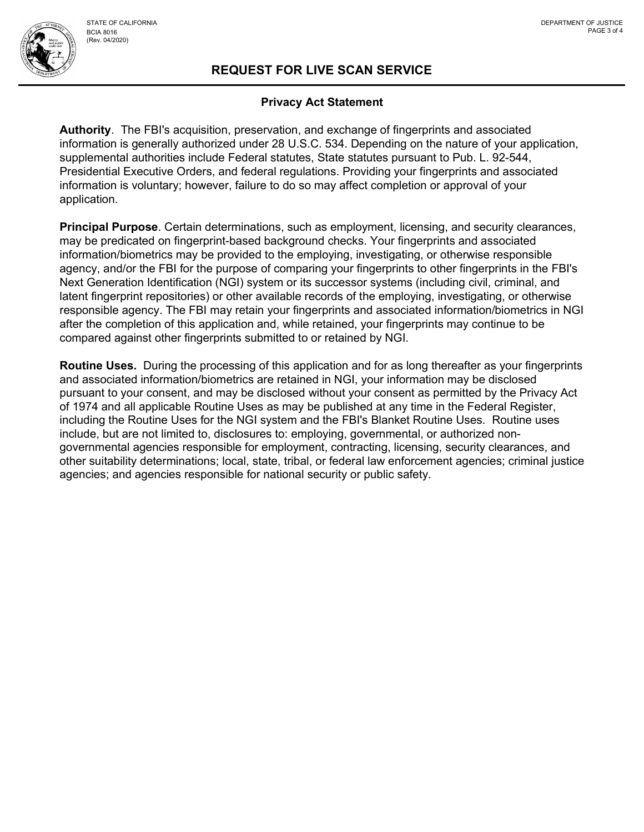

# REQUEST FOR LIVE SCAN SERVICE

#### Privacy Act Statement

Authority. The FBI's acquisition, preservation, and exchange of fingerprints and associated information is generally authorized under 28 U.S.C. 534. Depending on the nature of your application, supplemental authorities include Federal statutes, State statutes pursuant to Pub. L. 92-544, Presidential Executive Orders, and federal regulations. Providing your fingerprints and associated information is voluntary; however, failure to do so may affect completion or approval of your application.

Principal Purpose. Certain determinations, such as employment, licensing, and security clearances, may be predicated on fingerprint-based background checks. Your fingerprints and associated information/biometrics may be provided to the employing, investigating, or otherwise responsible agency, and/or the FBI for the purpose of comparing your fingerprints to other fingerprints in the FBI's Next Generation Identification (NGI) system or its successor systems (including civil, criminal, and latent fingerprint repositories) or other available records of the employing, investigating, or otherwise responsible agency. The FBI may retain your fingerprints and associated information/biometrics in NGI after the completion of this application and, while retained, your fingerprints may continue to be compared against other fingerprints submitted to or retained by NGI.

Routine Uses. During the processing of this application and for as long thereafter as your fingerprints and associated information/biometrics are retained in NGI, your information may be disclosed pursuant to your consent, and may be disclosed without your consent as permitted by the Privacy Act of 1974 and all applicable Routine Uses as may be published at any time in the Federal Register, including the Routine Uses for the NGI system and the FBI's Blanket Routine Uses. Routine uses include, but are not limited to, disclosures to: employing, governmental, or authorized nongovernmental agencies responsible for employment, contracting, licensing, security clearances, and other suitability determinations; local, state, tribal, or federal law enforcement agencies; criminal justice agencies; and agencies responsible for national security or public safety.